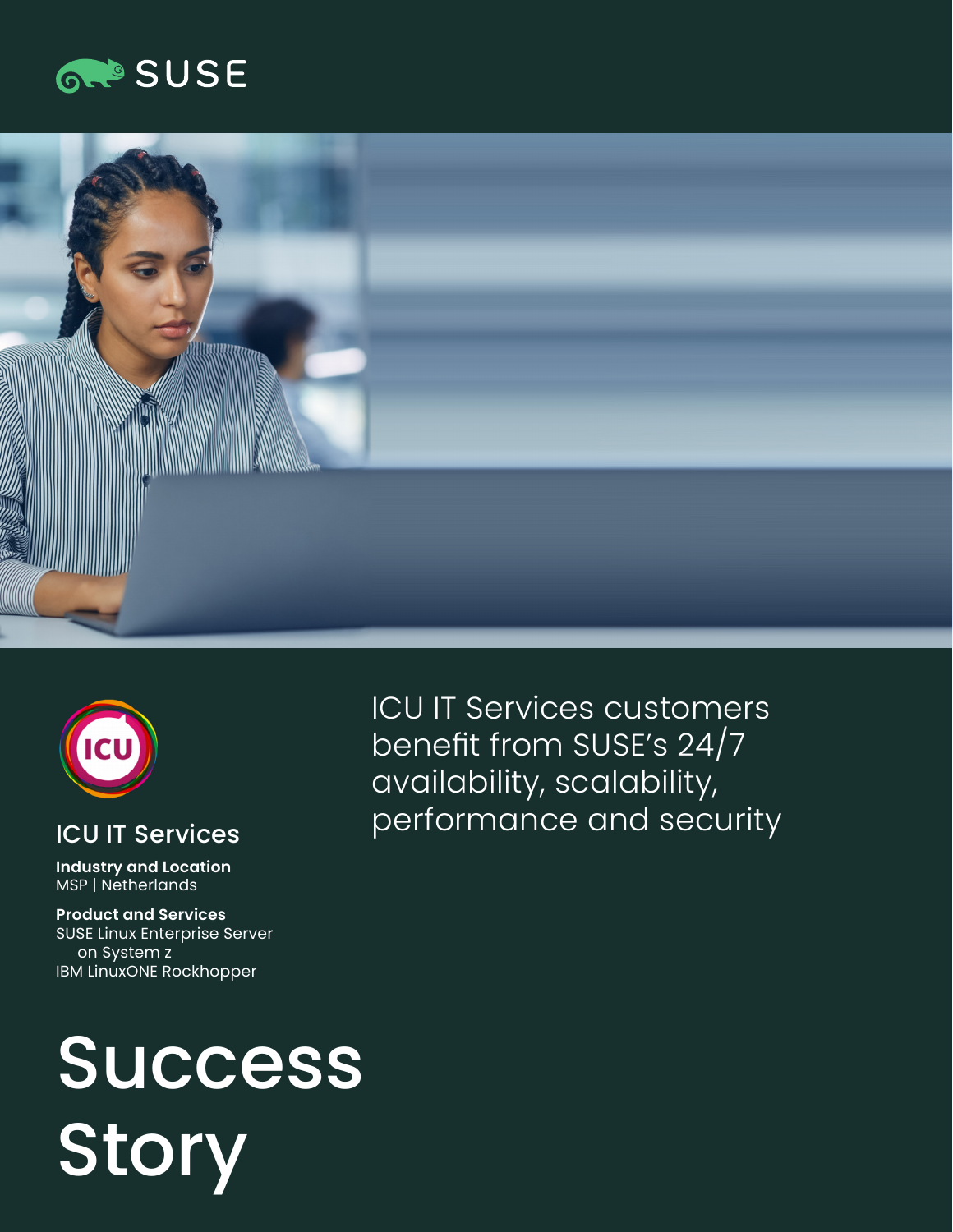





#### ICU IT Services

**Industry and Location**  MSP | Netherlands

**Product and Services**  SUSE Linux Enterprise Server on System z IBM LinuxONE Rockhopper

ICU IT Services customers benefit from SUSE's 24/7 availability, scalability, performance and security

# Success **Story**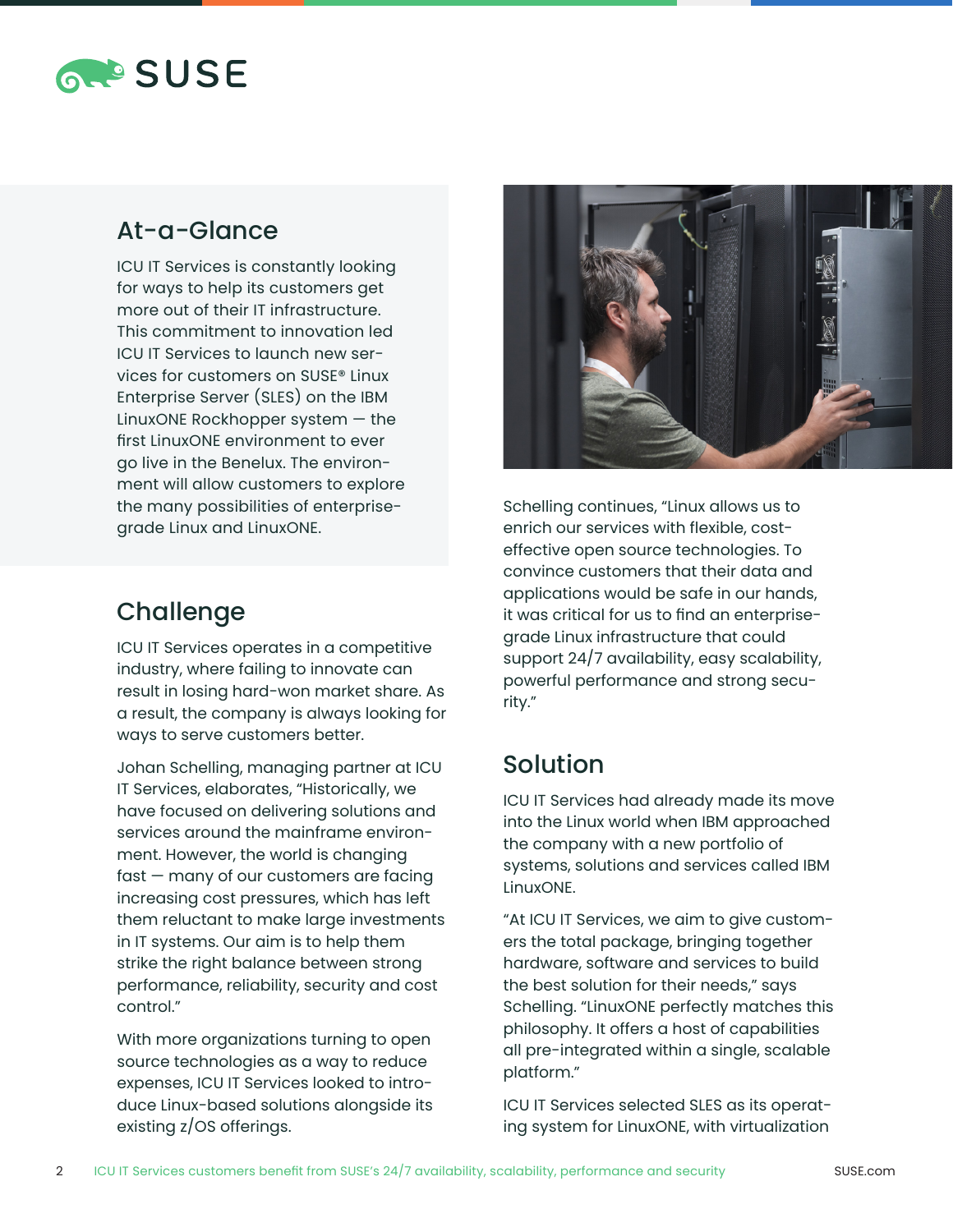

#### At-a-Glance

ICU IT Services is constantly looking for ways to help its customers get more out of their IT infrastructure. This commitment to innovation led ICU IT Services to launch new services for customers on SUSE® Linux Enterprise Server (SLES) on the IBM LinuxONE Rockhopper system — the first LinuxONE environment to ever go live in the Benelux. The environment will allow customers to explore the many possibilities of enterprisegrade Linux and LinuxONE.

### **Challenge**

ICU IT Services operates in a competitive industry, where failing to innovate can result in losing hard-won market share. As a result, the company is always looking for ways to serve customers better.

Johan Schelling, managing partner at ICU IT Services, elaborates, "Historically, we have focused on delivering solutions and services around the mainframe environment. However, the world is changing fast — many of our customers are facing increasing cost pressures, which has left them reluctant to make large investments in IT systems. Our aim is to help them strike the right balance between strong performance, reliability, security and cost control."

With more organizations turning to open source technologies as a way to reduce expenses, ICU IT Services looked to introduce Linux-based solutions alongside its existing z/OS offerings.



Schelling continues, "Linux allows us to enrich our services with flexible, costeffective open source technologies. To convince customers that their data and applications would be safe in our hands, it was critical for us to find an enterprisegrade Linux infrastructure that could support 24/7 availability, easy scalability, powerful performance and strong security."

#### Solution

ICU IT Services had already made its move into the Linux world when IBM approached the company with a new portfolio of systems, solutions and services called IBM LinuxONE.

"At ICU IT Services, we aim to give customers the total package, bringing together hardware, software and services to build the best solution for their needs," says Schelling. "LinuxONE perfectly matches this philosophy. It offers a host of capabilities all pre-integrated within a single, scalable platform."

ICU IT Services selected SLES as its operating system for LinuxONE, with virtualization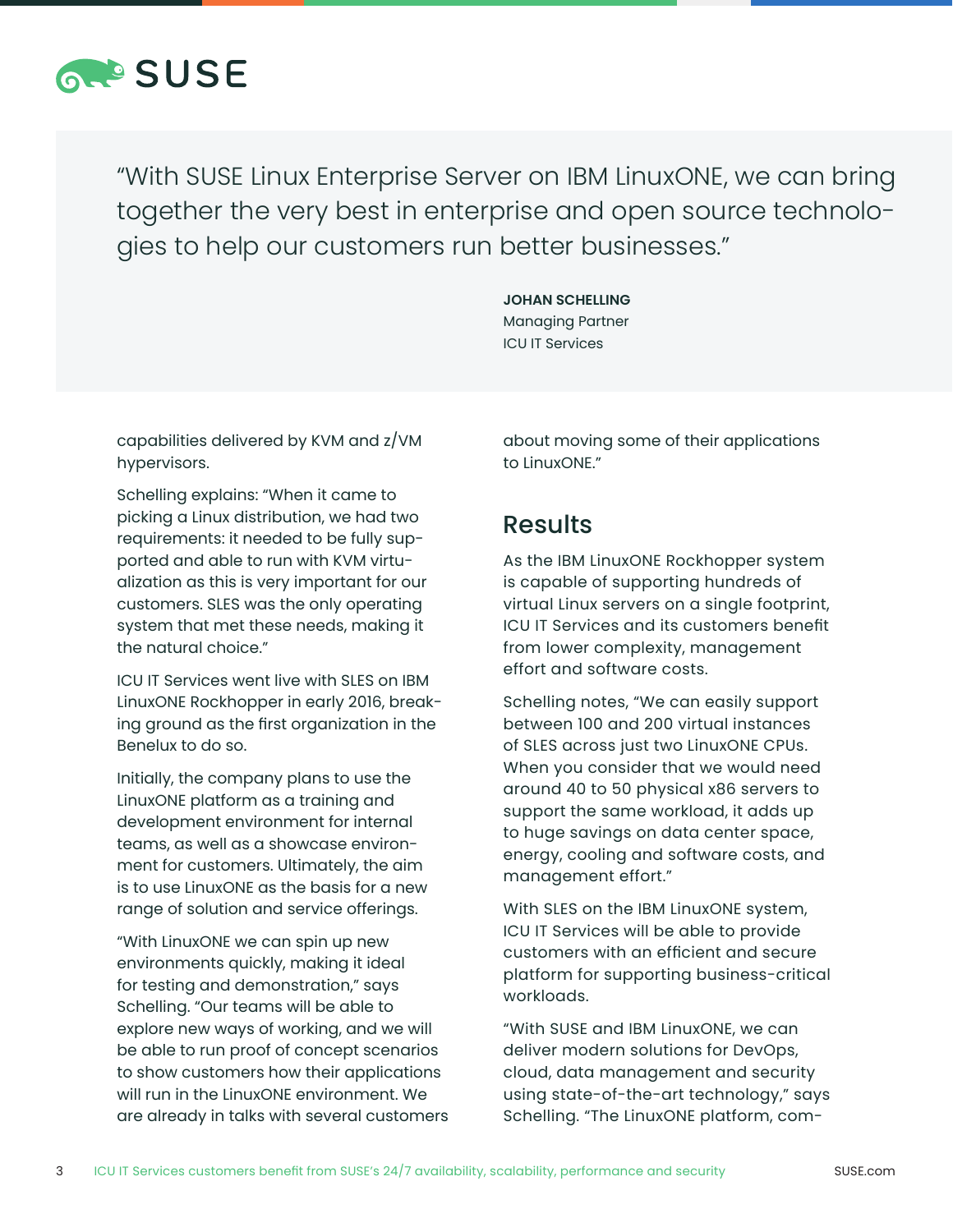

"With SUSE Linux Enterprise Server on IBM LinuxONE, we can bring together the very best in enterprise and open source technologies to help our customers run better businesses."

> **JOHAN SCHELLING** Managing Partner ICU IT Services

capabilities delivered by KVM and z/VM hypervisors.

Schelling explains: "When it came to picking a Linux distribution, we had two requirements: it needed to be fully supported and able to run with KVM virtualization as this is very important for our customers. SLES was the only operating system that met these needs, making it the natural choice."

ICU IT Services went live with SLES on IBM LinuxONE Rockhopper in early 2016, breaking ground as the first organization in the Benelux to do so.

Initially, the company plans to use the LinuxONE platform as a training and development environment for internal teams, as well as a showcase environment for customers. Ultimately, the aim is to use LinuxONE as the basis for a new range of solution and service offerings.

"With LinuxONE we can spin up new environments quickly, making it ideal for testing and demonstration," says Schelling. "Our teams will be able to explore new ways of working, and we will be able to run proof of concept scenarios to show customers how their applications will run in the LinuxONE environment. We are already in talks with several customers about moving some of their applications to LinuxONE."

#### **Results**

As the IBM LinuxONE Rockhopper system is capable of supporting hundreds of virtual Linux servers on a single footprint, ICU IT Services and its customers benefit from lower complexity, management effort and software costs.

Schelling notes, "We can easily support between 100 and 200 virtual instances of SLES across just two LinuxONE CPUs. When you consider that we would need around 40 to 50 physical x86 servers to support the same workload, it adds up to huge savings on data center space, energy, cooling and software costs, and management effort."

With SLES on the IBM LinuxONE system, ICU IT Services will be able to provide customers with an efficient and secure platform for supporting business-critical workloads.

"With SUSE and IBM LinuxONE, we can deliver modern solutions for DevOps, cloud, data management and security using state-of-the-art technology," says Schelling. "The LinuxONE platform, com-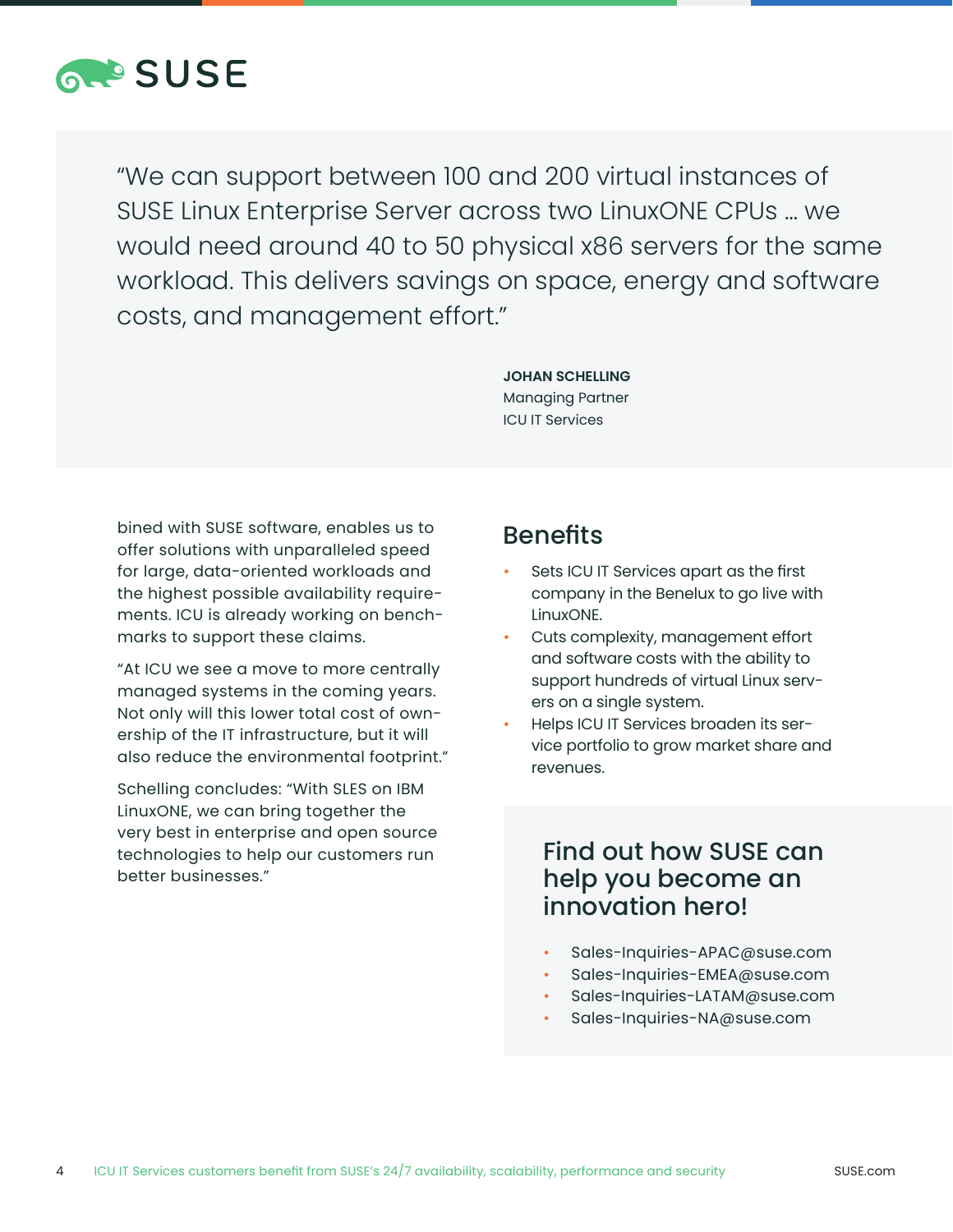

"We can support between 100 and 200 virtual instances of SUSE Linux Enterprise Server across two LinuxONE CPUs … we would need around 40 to 50 physical x86 servers for the same workload. This delivers savings on space, energy and software costs, and management effort."

> **JOHAN SCHELLING** Managing Partner ICU IT Services

bined with SUSE software, enables us to offer solutions with unparalleled speed for large, data-oriented workloads and the highest possible availability requirements. ICU is already working on benchmarks to support these claims.

"At ICU we see a move to more centrally managed systems in the coming years. Not only will this lower total cost of ownership of the IT infrastructure, but it will also reduce the environmental footprint."

Schelling concludes: "With SLES on IBM LinuxONE, we can bring together the very best in enterprise and open source technologies to help our customers run better businesses."

#### Benefits

- Sets ICU IT Services apart as the first company in the Benelux to go live with LinuxONE.
- Cuts complexity, management effort and software costs with the ability to support hundreds of virtual Linux servers on a single system.
- Helps ICU IT Services broaden its service portfolio to grow market share and revenues.

#### Find out how SUSE can help you become an innovation hero!

- Sales-Inquiries-APAC@suse.com
- Sales-Inquiries-EMEA@suse.com
- Sales-Inquiries-LATAM@suse.com
- Sales-Inquiries-NA@suse.com